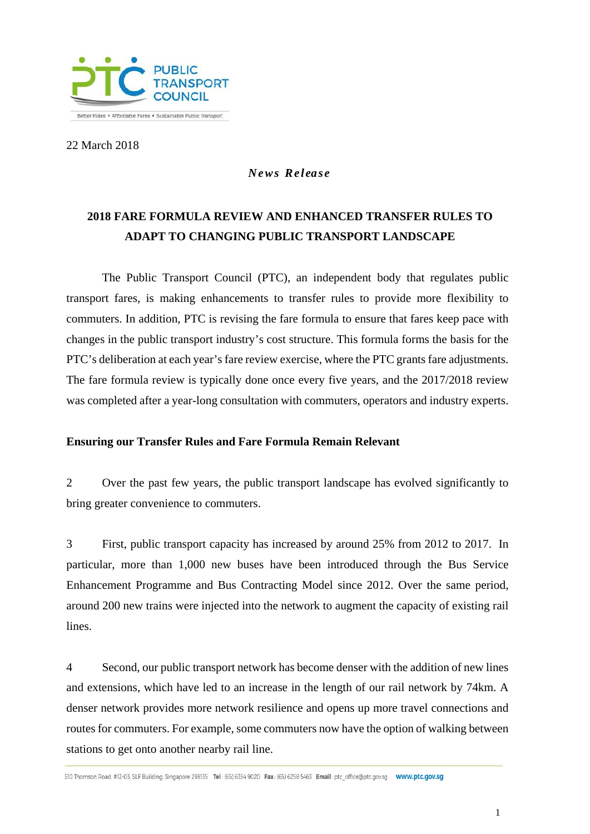

22 March 2018

### *News Rel ea s e*

# **2018 FARE FORMULA REVIEW AND ENHANCED TRANSFER RULES TO ADAPT TO CHANGING PUBLIC TRANSPORT LANDSCAPE**

The Public Transport Council (PTC), an independent body that regulates public transport fares, is making enhancements to transfer rules to provide more flexibility to commuters. In addition, PTC is revising the fare formula to ensure that fares keep pace with changes in the public transport industry's cost structure. This formula forms the basis for the PTC's deliberation at each year's fare review exercise, where the PTC grants fare adjustments. The fare formula review is typically done once every five years, and the 2017/2018 review was completed after a year-long consultation with commuters, operators and industry experts.

#### **Ensuring our Transfer Rules and Fare Formula Remain Relevant**

2 Over the past few years, the public transport landscape has evolved significantly to bring greater convenience to commuters.

3 First, public transport capacity has increased by around 25% from 2012 to 2017. In particular, more than 1,000 new buses have been introduced through the Bus Service Enhancement Programme and Bus Contracting Model since 2012. Over the same period, around 200 new trains were injected into the network to augment the capacity of existing rail lines.

4 Second, our public transport network has become denser with the addition of new lines and extensions, which have led to an increase in the length of our rail network by 74km. A denser network provides more network resilience and opens up more travel connections and routes for commuters. For example, some commuters now have the option of walking between stations to get onto another nearby rail line.

510 Thomson Road, #12-03, SLF Building, Singapore 298135 Tel: (65) 6354 9020 Fax: (65) 6258 5463 Email: ptc office@ptc.gov.sg WWW.ptc.gov.sg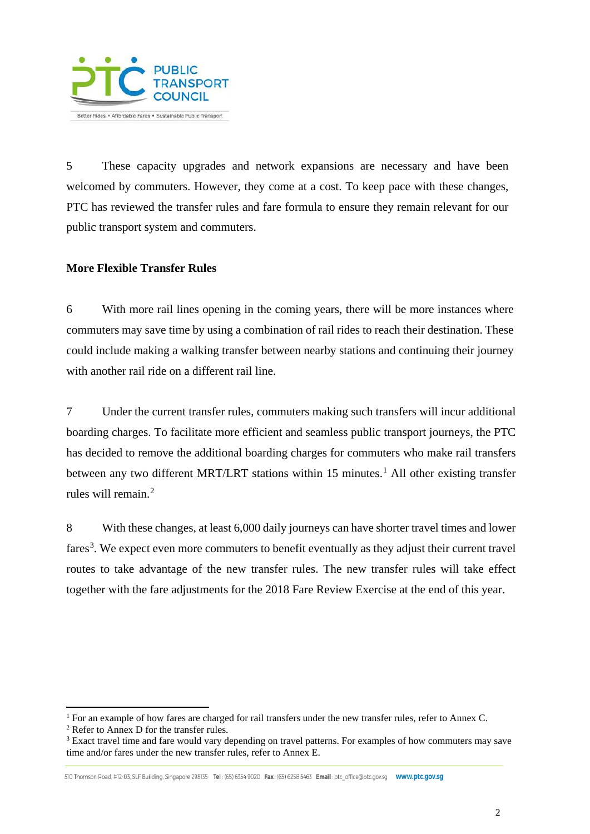

5 These capacity upgrades and network expansions are necessary and have been welcomed by commuters. However, they come at a cost. To keep pace with these changes, PTC has reviewed the transfer rules and fare formula to ensure they remain relevant for our public transport system and commuters.

#### **More Flexible Transfer Rules**

6 With more rail lines opening in the coming years, there will be more instances where commuters may save time by using a combination of rail rides to reach their destination. These could include making a walking transfer between nearby stations and continuing their journey with another rail ride on a different rail line.

7 Under the current transfer rules, commuters making such transfers will incur additional boarding charges. To facilitate more efficient and seamless public transport journeys, the PTC has decided to remove the additional boarding charges for commuters who make rail transfers between any two different MRT/LRT stations within [1](#page-1-0)5 minutes.<sup>1</sup> All other existing transfer rules will remain. [2](#page-1-1)

8 With these changes, at least 6,000 daily journeys can have shorter travel times and lower fares<sup>[3](#page-1-2)</sup>. We expect even more commuters to benefit eventually as they adjust their current travel routes to take advantage of the new transfer rules. The new transfer rules will take effect together with the fare adjustments for the 2018 Fare Review Exercise at the end of this year.

l

<span id="page-1-0"></span><sup>&</sup>lt;sup>1</sup> For an example of how fares are charged for rail transfers under the new transfer rules, refer to Annex C.

<span id="page-1-1"></span><sup>2</sup> Refer to Annex D for the transfer rules.

<span id="page-1-2"></span><sup>&</sup>lt;sup>3</sup> Exact travel time and fare would vary depending on travel patterns. For examples of how commuters may save time and/or fares under the new transfer rules, refer to Annex E.

<sup>510</sup> Thomson Road, #12-03, SLF Building, Singapore 298135 Tel: (65) 6354 9020 Fax: (65) 6258 5463 Email: ptc office@ptc.gov.sq WWW.ptc.gov.sq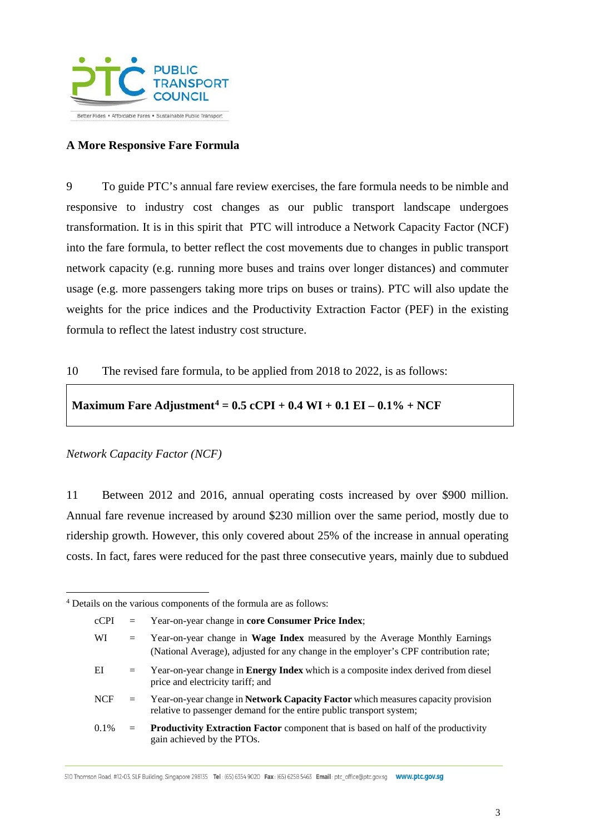

#### **A More Responsive Fare Formula**

9 To guide PTC's annual fare review exercises, the fare formula needs to be nimble and responsive to industry cost changes as our public transport landscape undergoes transformation. It is in this spirit that PTC will introduce a Network Capacity Factor (NCF) into the fare formula, to better reflect the cost movements due to changes in public transport network capacity (e.g. running more buses and trains over longer distances) and commuter usage (e.g. more passengers taking more trips on buses or trains). PTC will also update the weights for the price indices and the Productivity Extraction Factor (PEF) in the existing formula to reflect the latest industry cost structure.

#### 10 The revised fare formula, to be applied from 2018 to 2022, is as follows:

#### **Maximum Fare Adjustment[4](#page-2-0) = 0.5 cCPI + 0.4 WI + 0.1 EI – 0.1% + NCF**

#### *Network Capacity Factor (NCF)*

l

11 Between 2012 and 2016, annual operating costs increased by over \$900 million. Annual fare revenue increased by around \$230 million over the same period, mostly due to ridership growth. However, this only covered about 25% of the increase in annual operating costs. In fact, fares were reduced for the past three consecutive years, mainly due to subdued

510 Thomson Road, #12-03, SLF Building, Singapore 298135 Tel: (65) 6354 9020 Fax: (65) 6258 5463 Email: ptc office@ptc.gov.sq WWW.ptc.gov.sq

<span id="page-2-0"></span><sup>4</sup> Details on the various components of the formula are as follows:

cCPI = Year-on-year change in **core Consumer Price Index**; WI = Year-on-year change in **Wage Index** measured by the Average Monthly Earnings (National Average), adjusted for any change in the employer's CPF contribution rate; EI = Year-on-year change in **Energy Index** which is a composite index derived from diesel price and electricity tariff; and NCF = Year-on-year change in **Network Capacity Factor** which measures capacity provision relative to passenger demand for the entire public transport system; 0.1% = **Productivity Extraction Factor** component that is based on half of the productivity gain achieved by the PTOs.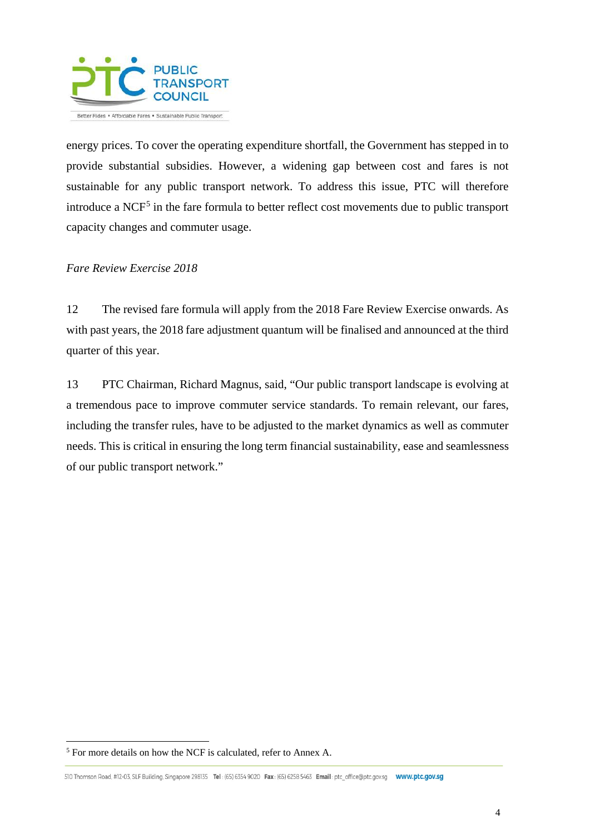

energy prices. To cover the operating expenditure shortfall, the Government has stepped in to provide substantial subsidies. However, a widening gap between cost and fares is not sustainable for any public transport network. To address this issue, PTC will therefore introduce a NCF<sup>[5](#page-3-0)</sup> in the fare formula to better reflect cost movements due to public transport capacity changes and commuter usage.

#### *Fare Review Exercise 2018*

12 The revised fare formula will apply from the 2018 Fare Review Exercise onwards. As with past years, the 2018 fare adjustment quantum will be finalised and announced at the third quarter of this year.

13 PTC Chairman, Richard Magnus, said, "Our public transport landscape is evolving at a tremendous pace to improve commuter service standards. To remain relevant, our fares, including the transfer rules, have to be adjusted to the market dynamics as well as commuter needs. This is critical in ensuring the long term financial sustainability, ease and seamlessness of our public transport network."

l

<span id="page-3-0"></span><sup>5</sup> For more details on how the NCF is calculated, refer to Annex A.

<sup>510</sup> Thomson Road, #12-03, SLF Building, Singapore 298135 Tel: (65) 6354 9020 Fax: (65) 6258 5463 Email: ptc office@ptc.gov.sq WWW.ptc.gov.sq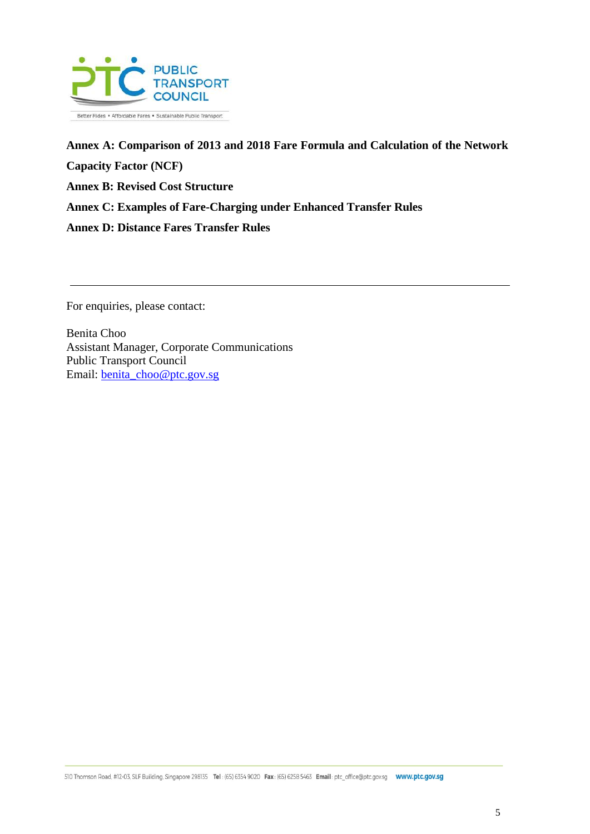

**Annex A: Comparison of 2013 and 2018 Fare Formula and Calculation of the Network Capacity Factor (NCF) Annex B: Revised Cost Structure Annex C: Examples of Fare-Charging under Enhanced Transfer Rules Annex D: Distance Fares Transfer Rules**

For enquiries, please contact:

Benita Choo Assistant Manager, Corporate Communications Public Transport Council Email: [benita\\_choo@ptc.gov.sg](mailto:benita_choo@ptc.gov.sg)

5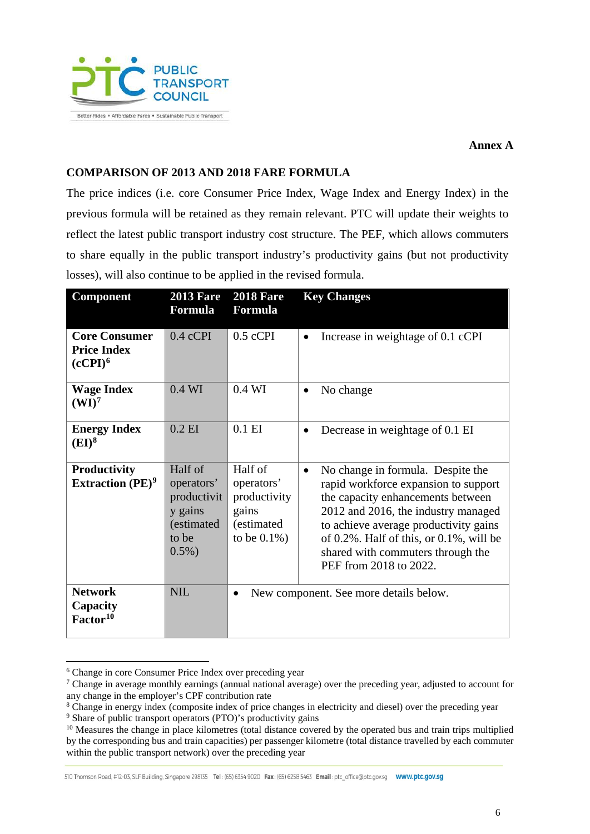

**Annex A**

#### **COMPARISON OF 2013 AND 2018 FARE FORMULA**

The price indices (i.e. core Consumer Price Index, Wage Index and Energy Index) in the previous formula will be retained as they remain relevant. PTC will update their weights to reflect the latest public transport industry cost structure. The PEF, which allows commuters to share equally in the public transport industry's productivity gains (but not productivity losses), will also continue to be applied in the revised formula.

| <b>Component</b>                                                  | <b>2013 Fare</b><br>Formula                                                         | <b>2018 Fare</b><br><b>Formula</b>                                              | <b>Key Changes</b>                                                                                                                                                                                                                                                                                                            |
|-------------------------------------------------------------------|-------------------------------------------------------------------------------------|---------------------------------------------------------------------------------|-------------------------------------------------------------------------------------------------------------------------------------------------------------------------------------------------------------------------------------------------------------------------------------------------------------------------------|
| <b>Core Consumer</b><br><b>Price Index</b><br>(cCPI) <sup>6</sup> | $0.4$ cCPI                                                                          | $0.5$ cCPI                                                                      | Increase in weightage of 0.1 cCPI<br>$\bullet$                                                                                                                                                                                                                                                                                |
| <b>Wage Index</b><br>(WI) <sup>7</sup>                            | $0.4$ WI                                                                            | $0.4$ WI                                                                        | No change<br>$\bullet$                                                                                                                                                                                                                                                                                                        |
| <b>Energy Index</b><br>$(EI)^8$                                   | $0.2$ EI                                                                            | $0.1$ EI                                                                        | Decrease in weightage of 0.1 EI<br>$\bullet$                                                                                                                                                                                                                                                                                  |
| <b>Productivity</b><br>Extraction $(PE)^9$                        | Half of<br>operators'<br>productivit<br>y gains<br>(estimated<br>to be<br>$0.5\%$ ) | Half of<br>operators'<br>productivity<br>gains<br>(estimated<br>to be $0.1\%$ ) | No change in formula. Despite the<br>$\bullet$<br>rapid workforce expansion to support<br>the capacity enhancements between<br>2012 and 2016, the industry managed<br>to achieve average productivity gains<br>of $0.2\%$ . Half of this, or $0.1\%$ , will be<br>shared with commuters through the<br>PEF from 2018 to 2022. |
| <b>Network</b><br>Capacity<br>Factor <sup>10</sup>                | <b>NIL</b>                                                                          | New component. See more details below.<br>$\bullet$                             |                                                                                                                                                                                                                                                                                                                               |

<span id="page-5-0"></span> $\overline{a}$ <sup>6</sup> Change in core Consumer Price Index over preceding year

<span id="page-5-1"></span><sup>7</sup> Change in average monthly earnings (annual national average) over the preceding year, adjusted to account for any change in the employer's CPF contribution rate

<span id="page-5-2"></span><sup>8</sup> Change in energy index (composite index of price changes in electricity and diesel) over the preceding year

<span id="page-5-3"></span><sup>&</sup>lt;sup>9</sup> Share of public transport operators (PTO)'s productivity gains

<span id="page-5-4"></span><sup>&</sup>lt;sup>10</sup> Measures the change in place kilometres (total distance covered by the operated bus and train trips multiplied by the corresponding bus and train capacities) per passenger kilometre (total distance travelled by each commuter within the public transport network) over the preceding year

<sup>510</sup> Thomson Road, #12-03, SLF Building, Singapore 298135 Tel: (65) 6354 9020 Fax: (65) 6258 5463 Email: ptc office@ptc.gov.sq WWW.ptc.gov.sq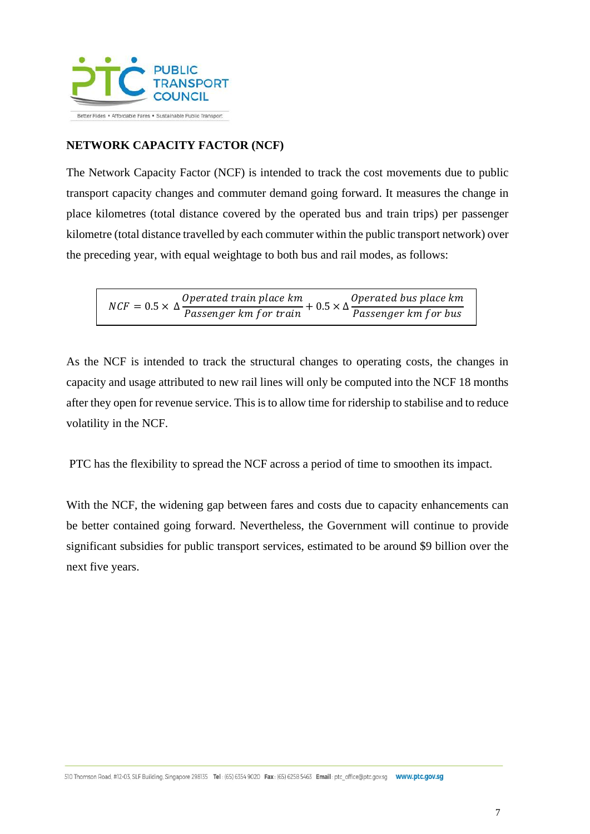

# **NETWORK CAPACITY FACTOR (NCF)**

The Network Capacity Factor (NCF) is intended to track the cost movements due to public transport capacity changes and commuter demand going forward. It measures the change in place kilometres (total distance covered by the operated bus and train trips) per passenger kilometre (total distance travelled by each commuter within the public transport network) over the preceding year, with equal weightage to both bus and rail modes, as follows:

 $NCF = 0.5 \times \Delta \frac{Operated \; train \; place \; km}{Passenger \; km \; for \; train} + 0.5 \times \Delta \frac{Operated \; bus \; place \; km}{Passenger \; km \; for \; bus}$ 

As the NCF is intended to track the structural changes to operating costs, the changes in capacity and usage attributed to new rail lines will only be computed into the NCF 18 months after they open for revenue service. This is to allow time for ridership to stabilise and to reduce volatility in the NCF.

PTC has the flexibility to spread the NCF across a period of time to smoothen its impact.

With the NCF, the widening gap between fares and costs due to capacity enhancements can be better contained going forward. Nevertheless, the Government will continue to provide significant subsidies for public transport services, estimated to be around \$9 billion over the next five years.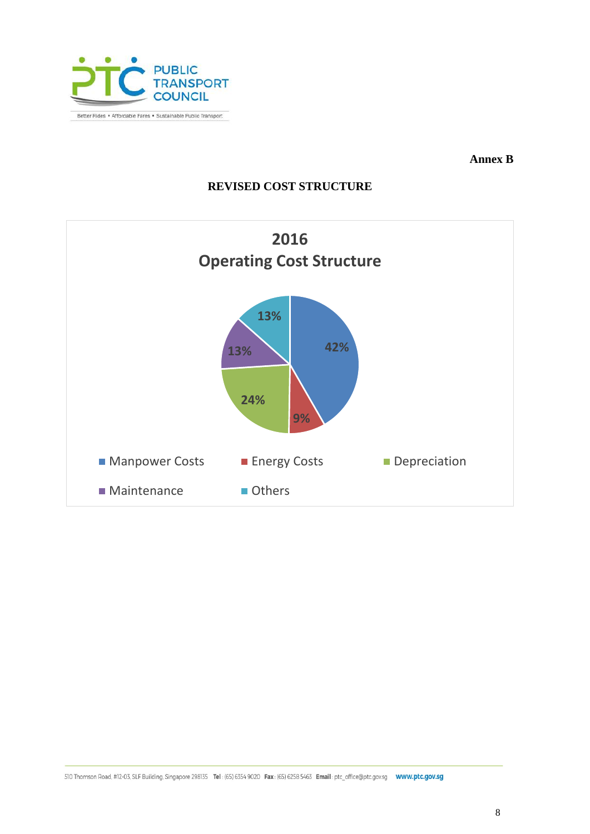

**Annex B**

# **REVISED COST STRUCTURE**

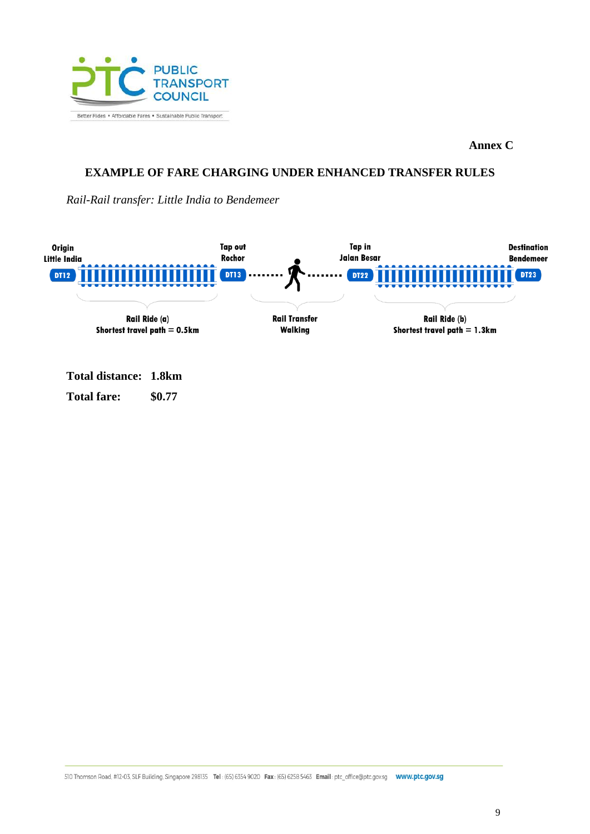

**Annex C**

### **EXAMPLE OF FARE CHARGING UNDER ENHANCED TRANSFER RULES**

*Rail-Rail transfer: Little India to Bendemeer*



**Total distance: 1.8km Total fare: \$0.77**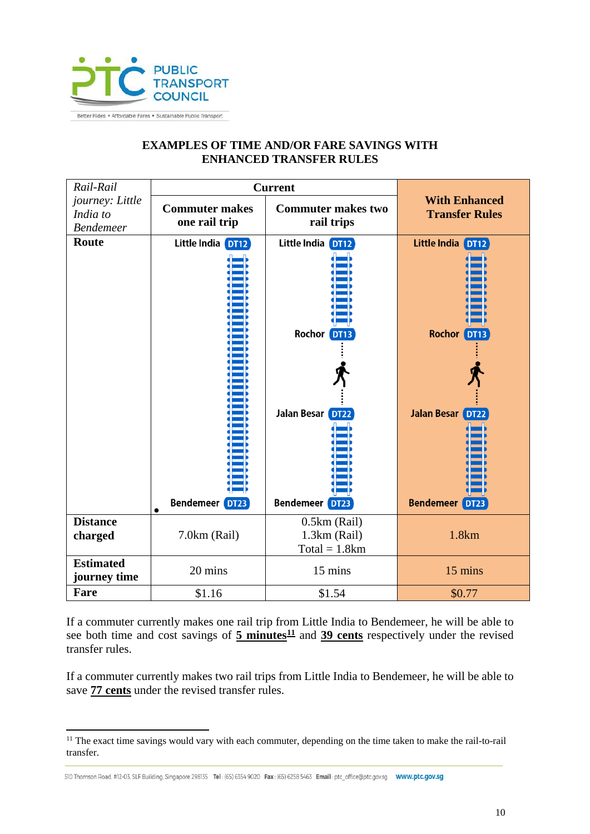

# **EXAMPLES OF TIME AND/OR FARE SAVINGS WITH ENHANCED TRANSFER RULES**

| Rail-Rail                                       | <b>Current</b>                         |                                                   |                                                  |
|-------------------------------------------------|----------------------------------------|---------------------------------------------------|--------------------------------------------------|
| journey: Little<br>India to<br><b>Bendemeer</b> | <b>Commuter makes</b><br>one rail trip | <b>Commuter makes two</b><br>rail trips           | <b>With Enhanced</b><br><b>Transfer Rules</b>    |
| Route                                           | Little India DT12                      | Little India DT12                                 | Little India DT12                                |
|                                                 |                                        | Rochor DT13<br>Jalan Besar DT22                   | <b>Rochor DT13</b><br><b>Jalan Besar</b><br>DT22 |
|                                                 | <b>Bendemeer</b> DT23<br>$\bullet$     | <b>Bendemeer</b> DT23                             | <b>Bendemeer DT23</b>                            |
| <b>Distance</b><br>charged                      | 7.0km (Rail)                           | $0.5km$ (Rail)<br>1.3km (Rail)<br>$Total = 1.8km$ | 1.8km                                            |
| <b>Estimated</b><br>journey time                | 20 mins                                | 15 mins                                           | 15 mins                                          |
| Fare                                            | \$1.16                                 | \$1.54                                            | \$0.77                                           |

If a commuter currently makes one rail trip from Little India to Bendemeer, he will be able to see both time and cost savings of  $5$  minutes<sup> $11$ </sup> and  $39$  cents respectively under the revised transfer rules.

If a commuter currently makes two rail trips from Little India to Bendemeer, he will be able to save **77 cents** under the revised transfer rules.

 $\overline{a}$ 

<span id="page-9-0"></span><sup>&</sup>lt;sup>11</sup> The exact time savings would vary with each commuter, depending on the time taken to make the rail-to-rail transfer.

<sup>510</sup> Thomson Road, #12-03, SLF Building, Singapore 298135 Tel: (65) 6354 9020 Fax: (65) 6258 5463 Email: ptc office@ptc.gov.sq WWW.ptc.gov.sq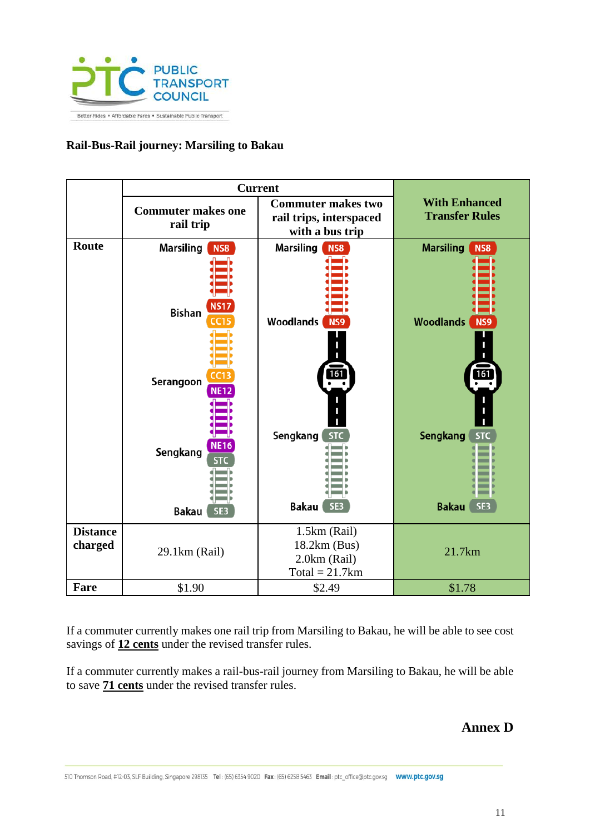

### **Rail-Bus-Rail journey: Marsiling to Bakau**

|                            | <b>Current</b>                                                                                                                        |                                                                                                            |                                                                                                                          |
|----------------------------|---------------------------------------------------------------------------------------------------------------------------------------|------------------------------------------------------------------------------------------------------------|--------------------------------------------------------------------------------------------------------------------------|
|                            | <b>Commuter makes one</b><br>rail trip                                                                                                | <b>Commuter makes two</b><br>rail trips, interspaced<br>with a bus trip                                    | <b>With Enhanced</b><br><b>Transfer Rules</b>                                                                            |
| Route                      | Marsiling<br><b>NS8</b><br><b>NS17</b><br><b>Bishan</b><br>CC15<br>CC13<br>Serangoon<br><b>NE12</b><br><b>NE16</b><br>Sengkang<br>STC | Marsiling<br>NS8<br><b>Woodlands</b><br><b>NS9</b><br>161<br>Sengkang<br><b>STC</b><br><b>Bakau</b><br>SE3 | <b>Marsiling</b><br><b>NS8</b><br><b>Woodlands</b><br>NS9<br>161<br><b>Sengkang</b><br><b>STC</b><br>SE3<br><b>Bakau</b> |
|                            | <b>Bakau</b><br>SE3                                                                                                                   |                                                                                                            |                                                                                                                          |
| <b>Distance</b><br>charged | 29.1km (Rail)                                                                                                                         | 1.5km (Rail)<br>18.2km (Bus)<br>2.0km (Rail)<br>$Total = 21.7km$                                           | 21.7km                                                                                                                   |
| Fare                       | \$1.90                                                                                                                                | \$2.49                                                                                                     | \$1.78                                                                                                                   |

If a commuter currently makes one rail trip from Marsiling to Bakau, he will be able to see cost savings of **12 cents** under the revised transfer rules.

If a commuter currently makes a rail-bus-rail journey from Marsiling to Bakau, he will be able to save **71 cents** under the revised transfer rules.

# **Annex D**

510 Thomson Road, #12-03, SLF Building, Singapore 298135 Tel: (65) 6354 9020 Fax: (65) 6258 5463 Email: ptc\_office@ptc.gov.sg www.ptc.gov.sg